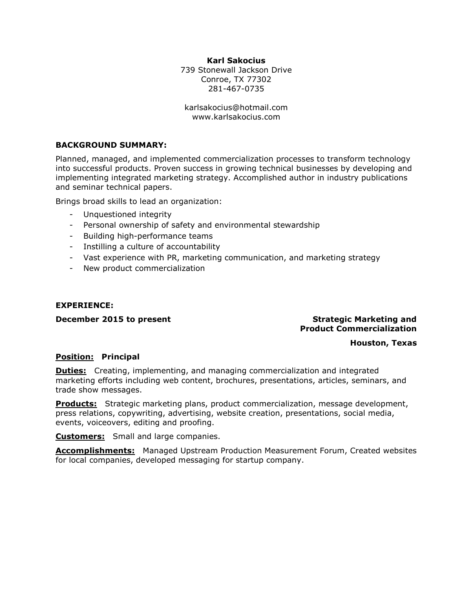# Karl Sakocius

739 Stonewall Jackson Drive Conroe, TX 77302 281-467-0735

karlsakocius@hotmail.com www.karlsakocius.com

# BACKGROUND SUMMARY:

Planned, managed, and implemented commercialization processes to transform technology into successful products. Proven success in growing technical businesses by developing and implementing integrated marketing strategy. Accomplished author in industry publications and seminar technical papers.

Brings broad skills to lead an organization:

- Unquestioned integrity
- Personal ownership of safety and environmental stewardship
- Building high-performance teams
- Instilling a culture of accountability
- Vast experience with PR, marketing communication, and marketing strategy
- New product commercialization

# EXPERIENCE:

### December 2015 to present Strategic Marketing and Strategic Marketing and Product Commercialization

### Houston, Texas

### Position: Principal

**Duties:** Creating, implementing, and managing commercialization and integrated marketing efforts including web content, brochures, presentations, articles, seminars, and trade show messages.

**Products:** Strategic marketing plans, product commercialization, message development, press relations, copywriting, advertising, website creation, presentations, social media, events, voiceovers, editing and proofing.

**Customers:** Small and large companies.

**Accomplishments:** Managed Upstream Production Measurement Forum, Created websites for local companies, developed messaging for startup company.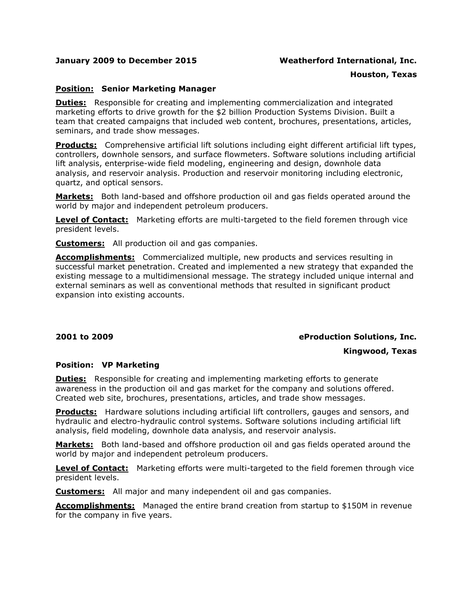## January 2009 to December 2015 Weatherford International, Inc.

### Houston, Texas

# **Position: Senior Marketing Manager**

**Duties:** Responsible for creating and implementing commercialization and integrated marketing efforts to drive growth for the \$2 billion Production Systems Division. Built a team that created campaigns that included web content, brochures, presentations, articles, seminars, and trade show messages.

Products: Comprehensive artificial lift solutions including eight different artificial lift types, controllers, downhole sensors, and surface flowmeters. Software solutions including artificial lift analysis, enterprise-wide field modeling, engineering and design, downhole data analysis, and reservoir analysis. Production and reservoir monitoring including electronic, quartz, and optical sensors.

**Markets:** Both land-based and offshore production oil and gas fields operated around the world by major and independent petroleum producers.

Level of Contact: Marketing efforts are multi-targeted to the field foremen through vice president levels.

**Customers:** All production oil and gas companies.

**Accomplishments:** Commercialized multiple, new products and services resulting in successful market penetration. Created and implemented a new strategy that expanded the existing message to a multidimensional message. The strategy included unique internal and external seminars as well as conventional methods that resulted in significant product expansion into existing accounts.

### 2001 to 2009 eProduction Solutions, Inc.

# Kingwood, Texas

### Position: VP Marketing

**Duties:** Responsible for creating and implementing marketing efforts to generate awareness in the production oil and gas market for the company and solutions offered. Created web site, brochures, presentations, articles, and trade show messages.

**Products:** Hardware solutions including artificial lift controllers, gauges and sensors, and hydraulic and electro-hydraulic control systems. Software solutions including artificial lift analysis, field modeling, downhole data analysis, and reservoir analysis.

**Markets:** Both land-based and offshore production oil and gas fields operated around the world by major and independent petroleum producers.

**Level of Contact:** Marketing efforts were multi-targeted to the field foremen through vice president levels.

**Customers:** All major and many independent oil and gas companies.

**Accomplishments:** Managed the entire brand creation from startup to \$150M in revenue for the company in five years.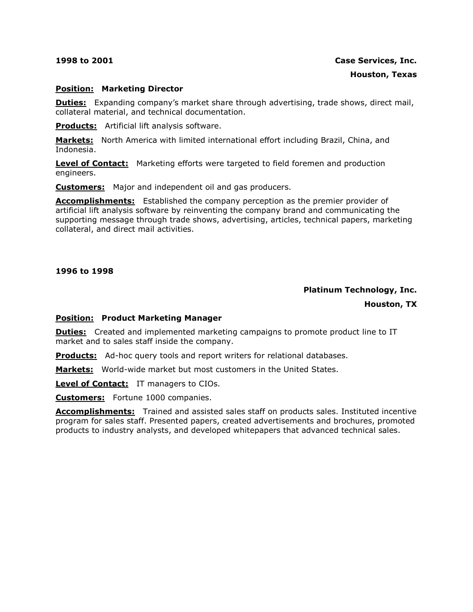# Position: Marketing Director

**Duties:** Expanding company's market share through advertising, trade shows, direct mail, collateral material, and technical documentation.

Products: Artificial lift analysis software.

Markets: North America with limited international effort including Brazil, China, and Indonesia.

**Level of Contact:** Marketing efforts were targeted to field foremen and production engineers.

**Customers:** Major and independent oil and gas producers.

**Accomplishments:** Established the company perception as the premier provider of artificial lift analysis software by reinventing the company brand and communicating the supporting message through trade shows, advertising, articles, technical papers, marketing collateral, and direct mail activities.

### 1996 to 1998

# Platinum Technology, Inc.

Houston, TX

### Position: Product Marketing Manager

**Duties:** Created and implemented marketing campaigns to promote product line to IT market and to sales staff inside the company.

**Products:** Ad-hoc query tools and report writers for relational databases.

Markets: World-wide market but most customers in the United States.

Level of Contact: IT managers to CIOs.

**Customers:** Fortune 1000 companies.

Accomplishments: Trained and assisted sales staff on products sales. Instituted incentive program for sales staff. Presented papers, created advertisements and brochures, promoted products to industry analysts, and developed whitepapers that advanced technical sales.